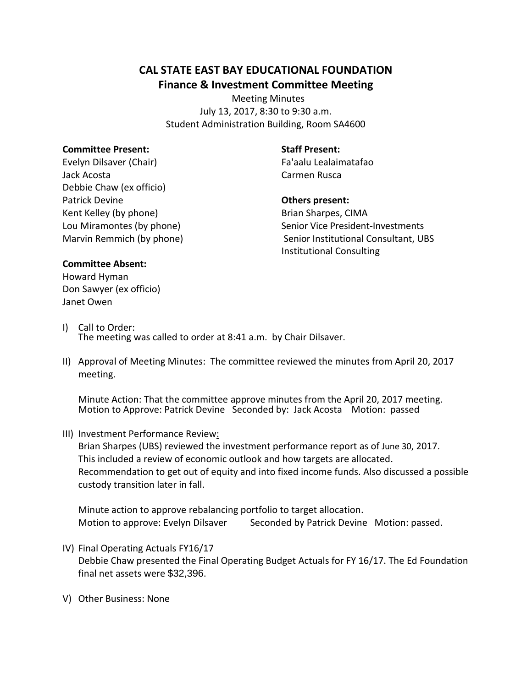# **CAL STATE EAST BAY EDUCATIONAL FOUNDATION Finance & Investment Committee Meeting**

 Meeting Minutes July 13, 2017, 8:30 to 9:30 a.m. Student Administration Building, Room SA4600

### **Committee Present:**

Evelyn Dilsaver (Chair) Jack Acosta Debbie Chaw (ex officio) Patrick Devine Kent Kelley (by phone) Lou Miramontes (by phone) Marvin Remmich (by phone)

### **Staff Present:**

Fa'aalu Lealaimatafao Carmen Rusca

## **Others present:**

Brian Sharpes, CIMA Senior Vice President-Investments Senior Institutional Consultant, UBS Institutional Consulting

#### **Committee Absent:**

Howard Hyman Don Sawyer (ex officio) Janet Owen

- I) Call to Order: The meeting was called to order at 8:41 a.m. by Chair Dilsaver.
- II) Approval of Meeting Minutes: The committee reviewed the minutes from April 20, 2017 meeting.

Minute Action: That the committee approve minutes from the April 20, 2017 meeting. Motion to Approve: Patrick Devine Seconded by: Jack Acosta Motion: passed

III) Investment Performance Review:

Brian Sharpes (UBS) reviewed the investment performance report as of June 30, 2017. This included a review of economic outlook and how targets are allocated. Recommendation to get out of equity and into fixed income funds. Also discussed a possible custody transition later in fall.

Minute action to approve rebalancing portfolio to target allocation. Motion to approve: Evelyn Dilsaver Seconded by Patrick Devine Motion: passed.

- IV) Final Operating Actuals FY16/17 Debbie Chaw presented the Final Operating Budget Actuals for FY 16/17. The Ed Foundation final net assets were \$32,396.
- V) Other Business: None